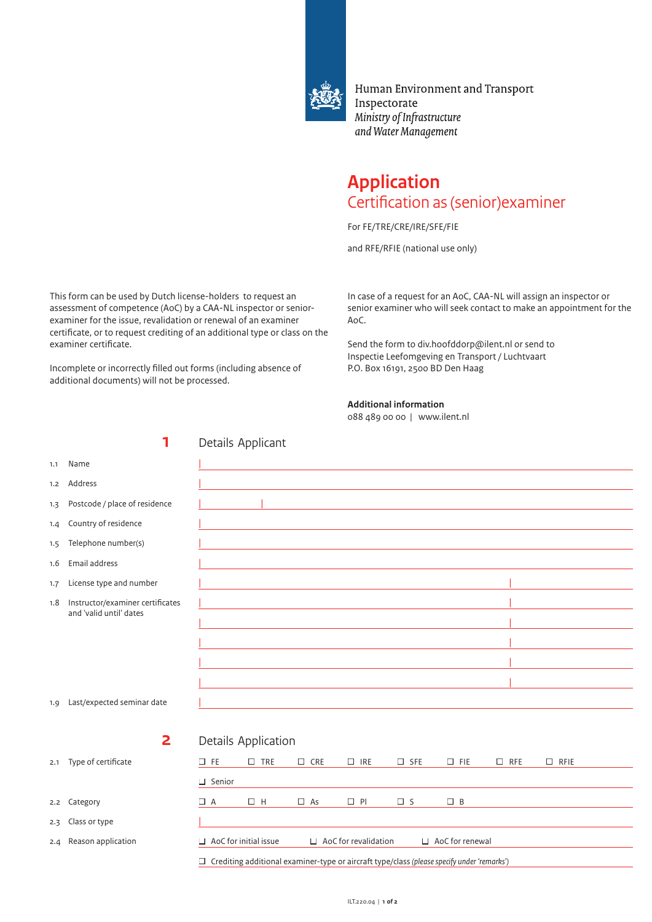

Human Environment and Transport Inspectorate Ministry of Infrastructure and Water Management

## **Application** Certification as (senior)examiner

For FE/TRE/CRE/IRE/SFE/FIE

and RFE/RFIE (national use only)

This form can be used by Dutch license-holders to request an assessment of competence (AoC) by a CAA-NL inspector or seniorexaminer for the issue, revalidation or renewal of an examiner certificate, or to request crediting of an additional type or class on the examiner certificate.

Incomplete or incorrectly filled out forms (including absence of additional documents) will not be processed.

In case of a request for an AoC, CAA-NL will assign an inspector or senior examiner who will seek contact to make an appointment for the AoC.

Send the form to div.hoofddorp@ilent.nl or send to Inspectie Leefomgeving en Transport / Luchtvaart P.O. Box 16191, 2500 BD Den Haag

## **Additional information**

088 489 00 00 | www.ilent.nl

|     | 1                                |                                                                                              | Details Applicant   |               |                             |               |                        |            |             |  |
|-----|----------------------------------|----------------------------------------------------------------------------------------------|---------------------|---------------|-----------------------------|---------------|------------------------|------------|-------------|--|
| 1.1 | Name                             |                                                                                              |                     |               |                             |               |                        |            |             |  |
| 1.2 | Address                          |                                                                                              |                     |               |                             |               |                        |            |             |  |
| 1.3 | Postcode / place of residence    |                                                                                              |                     |               |                             |               |                        |            |             |  |
| 1.4 | Country of residence             |                                                                                              |                     |               |                             |               |                        |            |             |  |
| 1.5 | Telephone number(s)              |                                                                                              |                     |               |                             |               |                        |            |             |  |
| 1.6 | Email address                    |                                                                                              |                     |               |                             |               |                        |            |             |  |
| 1.7 | License type and number          |                                                                                              |                     |               |                             |               |                        |            |             |  |
| 1.8 | Instructor/examiner certificates |                                                                                              |                     |               |                             |               |                        |            |             |  |
|     | and 'valid until' dates          |                                                                                              |                     |               |                             |               |                        |            |             |  |
|     |                                  |                                                                                              |                     |               |                             |               |                        |            |             |  |
|     |                                  |                                                                                              |                     |               |                             |               |                        |            |             |  |
|     |                                  |                                                                                              |                     |               |                             |               |                        |            |             |  |
| 1.9 | Last/expected seminar date       |                                                                                              |                     |               |                             |               |                        |            |             |  |
|     |                                  |                                                                                              |                     |               |                             |               |                        |            |             |  |
|     | $\overline{\mathbf{2}}$          |                                                                                              | Details Application |               |                             |               |                        |            |             |  |
| 2.1 | Type of certificate              | $\square$ FE                                                                                 | $\square$ TRE       | $\square$ CRE | $\Box$ IRE                  | $\square$ SFE | $\square$ FIE          | $\Box$ RFE | $\Box$ RFIE |  |
|     |                                  | $\Box$ Senior                                                                                |                     |               |                             |               |                        |            |             |  |
| 2.2 | Category                         | $\Box$ A                                                                                     | $\Box$ H            | $\Box$ As     | $\Box$ PI                   | $\square$ S   | $\Box$ B               |            |             |  |
| 2.3 | Class or type                    |                                                                                              |                     |               |                             |               |                        |            |             |  |
| 2.4 | Reason application               | $\Box$ AoC for initial issue                                                                 |                     |               | $\Box$ AoC for revalidation |               | $\Box$ AoC for renewal |            |             |  |
|     |                                  | □ Crediting additional examiner-type or aircraft type/class (please specify under 'remarks') |                     |               |                             |               |                        |            |             |  |